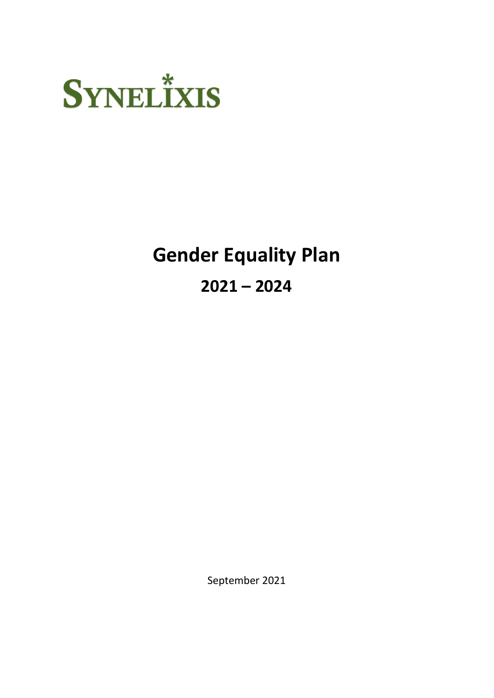

## **Gender Equality Plan 2021 – 2024**

September 2021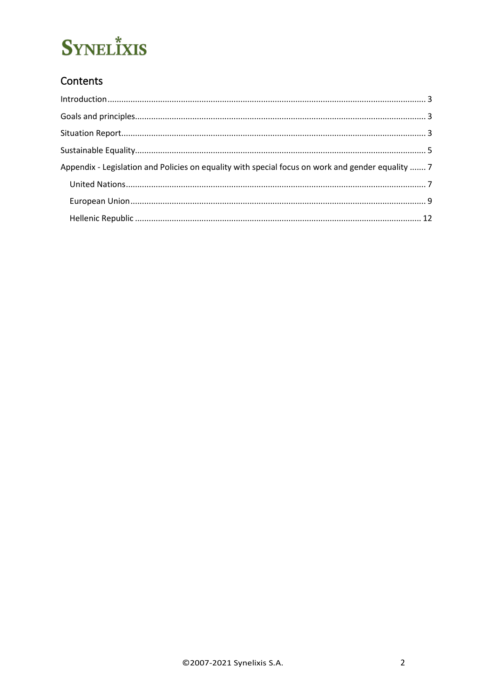### Contents

| Appendix - Legislation and Policies on equality with special focus on work and gender equality  7 |  |
|---------------------------------------------------------------------------------------------------|--|
|                                                                                                   |  |
|                                                                                                   |  |
|                                                                                                   |  |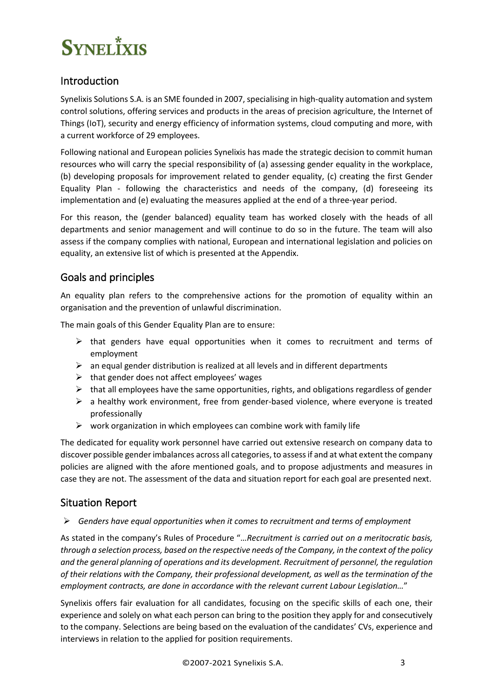### <span id="page-2-0"></span>Introduction

Synelixis Solutions S.A. is an SME founded in 2007, specialising in high-quality automation and system control solutions, offering services and products in the areas of precision agriculture, the Internet of Things (IoT), security and energy efficiency of information systems, cloud computing and more, with a current workforce of 29 employees.

Following national and European policies Synelixis has made the strategic decision to commit human resources who will carry the special responsibility of (a) assessing gender equality in the workplace, (b) developing proposals for improvement related to gender equality, (c) creating the first Gender Equality Plan - following the characteristics and needs of the company, (d) foreseeing its implementation and (e) evaluating the measures applied at the end of a three-year period.

For this reason, the (gender balanced) equality team has worked closely with the heads of all departments and senior management and will continue to do so in the future. The team will also assess if the company complies with national, European and international legislation and policies on equality, an extensive list of which is presented at the Appendix.

### <span id="page-2-1"></span>Goals and principles

An equality plan refers to the comprehensive actions for the promotion of equality within an organisation and the prevention of unlawful discrimination.

The main goals of this Gender Equality Plan are to ensure:

- $\triangleright$  that genders have equal opportunities when it comes to recruitment and terms of employment
- $\triangleright$  an equal gender distribution is realized at all levels and in different departments
- $\triangleright$  that gender does not affect employees' wages
- $\triangleright$  that all employees have the same opportunities, rights, and obligations regardless of gender
- $\triangleright$  a healthy work environment, free from gender-based violence, where everyone is treated professionally
- $\triangleright$  work organization in which employees can combine work with family life

The dedicated for equality work personnel have carried out extensive research on company data to discover possible gender imbalances across all categories, to assess if and at what extent the company policies are aligned with the afore mentioned goals, and to propose adjustments and measures in case they are not. The assessment of the data and situation report for each goal are presented next.

### <span id="page-2-2"></span>Situation Report

#### ➢ *Genders have equal opportunities when it comes to recruitment and terms of employment*

As stated in the company's Rules of Procedure "…*Recruitment is carried out on a meritocratic basis, through a selection process, based on the respective needs of the Company, in the context of the policy and the general planning of operations and its development. Recruitment of personnel, the regulation of their relations with the Company, their professional development, as well as the termination of the employment contracts, are done in accordance with the relevant current Labour Legislation…*"

Synelixis offers fair evaluation for all candidates, focusing on the specific skills of each one, their experience and solely on what each person can bring to the position they apply for and consecutively to the company. Selections are being based on the evaluation of the candidates' CVs, experience and interviews in relation to the applied for position requirements.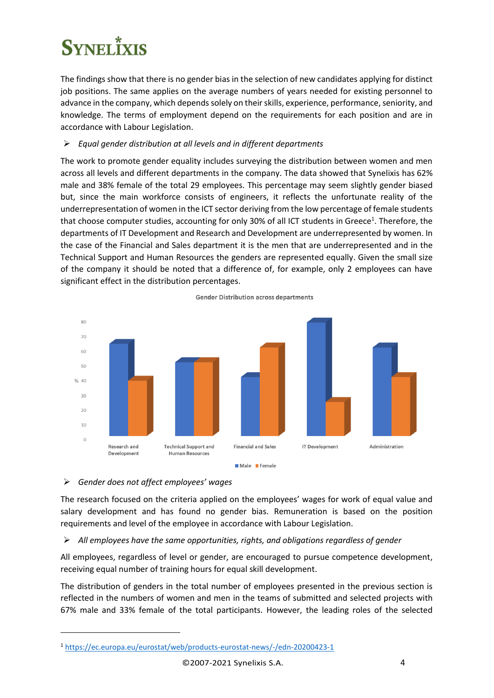The findings show that there is no gender bias in the selection of new candidates applying for distinct job positions. The same applies on the average numbers of years needed for existing personnel to advance in the company, which depends solely on their skills, experience, performance, seniority, and knowledge. The terms of employment depend on the requirements for each position and are in accordance with Labour Legislation.

#### ➢ *Equal gender distribution at all levels and in different departments*

The work to promote gender equality includes surveying the distribution between women and men across all levels and different departments in the company. The data showed that Synelixis has 62% male and 38% female of the total 29 employees. This percentage may seem slightly gender biased but, since the main workforce consists of engineers, it reflects the unfortunate reality of the underrepresentation of women in the ICT sector deriving from the low percentage of female students that choose computer studies, accounting for only 30% of all ICT students in Greece<sup>1</sup>. Therefore, the departments of IT Development and Research and Development are underrepresented by women. In the case of the Financial and Sales department it is the men that are underrepresented and in the Technical Support and Human Resources the genders are represented equally. Given the small size of the company it should be noted that a difference of, for example, only 2 employees can have significant effect in the distribution percentages.



**Gender Distribution across departments** 

#### ➢ *Gender does not affect employees' wages*

The research focused on the criteria applied on the employees' wages for work of equal value and salary development and has found no gender bias. Remuneration is based on the position requirements and level of the employee in accordance with Labour Legislation.

#### ➢ *All employees have the same opportunities, rights, and obligations regardless of gender*

All employees, regardless of level or gender, are encouraged to pursue competence development, receiving equal number of training hours for equal skill development.

The distribution of genders in the total number of employees presented in the previous section is reflected in the numbers of women and men in the teams of submitted and selected projects with 67% male and 33% female of the total participants. However, the leading roles of the selected

<sup>1</sup> <https://ec.europa.eu/eurostat/web/products-eurostat-news/-/edn-20200423-1>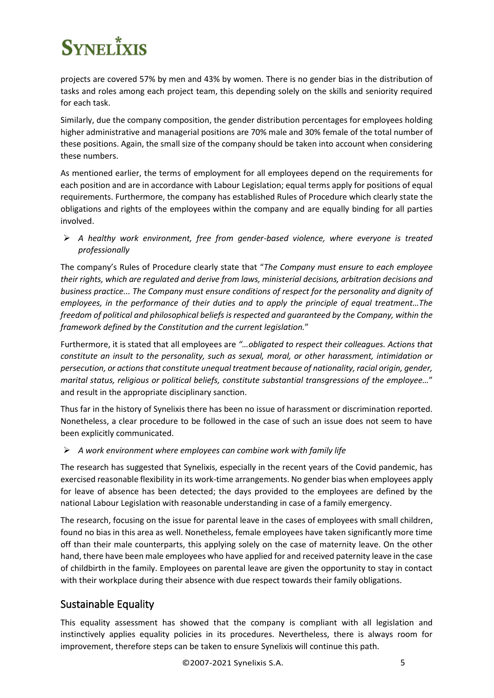projects are covered 57% by men and 43% by women. There is no gender bias in the distribution of tasks and roles among each project team, this depending solely on the skills and seniority required for each task.

Similarly, due the company composition, the gender distribution percentages for employees holding higher administrative and managerial positions are 70% male and 30% female of the total number of these positions. Again, the small size of the company should be taken into account when considering these numbers.

As mentioned earlier, the terms of employment for all employees depend on the requirements for each position and are in accordance with Labour Legislation; equal terms apply for positions of equal requirements. Furthermore, the company has established Rules of Procedure which clearly state the obligations and rights of the employees within the company and are equally binding for all parties involved.

➢ *A healthy work environment, free from gender-based violence, where everyone is treated professionally* 

The company's Rules of Procedure clearly state that "*The Company must ensure to each employee their rights, which are regulated and derive from laws, ministerial decisions, arbitration decisions and business practice... The Company must ensure conditions of respect for the personality and dignity of employees, in the performance of their duties and to apply the principle of equal treatment…The freedom of political and philosophical beliefs is respected and guaranteed by the Company, within the framework defined by the Constitution and the current legislation.*"

Furthermore, it is stated that all employees are *"…obligated to respect their colleagues. Actions that constitute an insult to the personality, such as sexual, moral, or other harassment, intimidation or persecution, or actions that constitute unequal treatment because of nationality, racial origin, gender, marital status, religious or political beliefs, constitute substantial transgressions of the employee…*" and result in the appropriate disciplinary sanction.

Thus far in the history of Synelixis there has been no issue of harassment or discrimination reported. Nonetheless, a clear procedure to be followed in the case of such an issue does not seem to have been explicitly communicated.

➢ *A work environment where employees can combine work with family life*

The research has suggested that Synelixis, especially in the recent years of the Covid pandemic, has exercised reasonable flexibility in its work-time arrangements. No gender bias when employees apply for leave of absence has been detected; the days provided to the employees are defined by the national Labour Legislation with reasonable understanding in case of a family emergency.

The research, focusing on the issue for parental leave in the cases of employees with small children, found no bias in this area as well. Nonetheless, female employees have taken significantly more time off than their male counterparts, this applying solely on the case of maternity leave. On the other hand, there have been male employees who have applied for and received paternity leave in the case of childbirth in the family. Employees on parental leave are given the opportunity to stay in contact with their workplace during their absence with due respect towards their family obligations.

### <span id="page-4-0"></span>Sustainable Equality

This equality assessment has showed that the company is compliant with all legislation and instinctively applies equality policies in its procedures. Nevertheless, there is always room for improvement, therefore steps can be taken to ensure Synelixis will continue this path.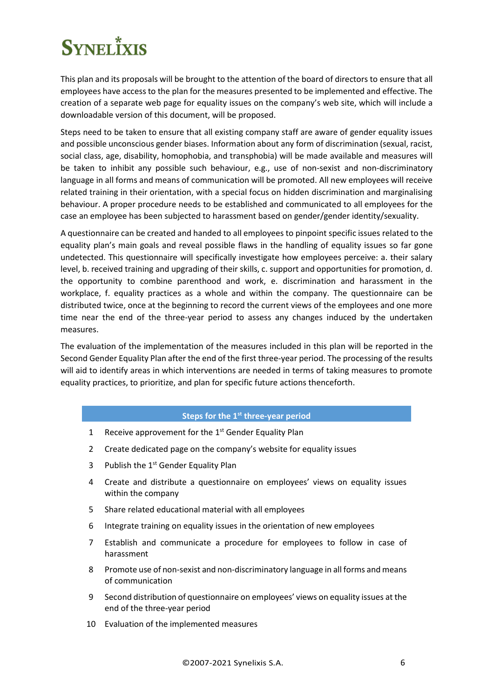This plan and its proposals will be brought to the attention of the board of directors to ensure that all employees have access to the plan for the measures presented to be implemented and effective. The creation of a separate web page for equality issues on the company's web site, which will include a downloadable version of this document, will be proposed.

Steps need to be taken to ensure that all existing company staff are aware of gender equality issues and possible unconscious gender biases. Information about any form of discrimination (sexual, racist, social class, age, disability, homophobia, and transphobia) will be made available and measures will be taken to inhibit any possible such behaviour, e.g., use of non-sexist and non-discriminatory language in all forms and means of communication will be promoted. All new employees will receive related training in their orientation, with a special focus on hidden discrimination and marginalising behaviour. A proper procedure needs to be established and communicated to all employees for the case an employee has been subjected to harassment based on gender/gender identity/sexuality.

A questionnaire can be created and handed to all employees to pinpoint specific issues related to the equality plan's main goals and reveal possible flaws in the handling of equality issues so far gone undetected. This questionnaire will specifically investigate how employees perceive: a. their salary level, b. received training and upgrading of their skills, c. support and opportunities for promotion, d. the opportunity to combine parenthood and work, e. discrimination and harassment in the workplace, f. equality practices as a whole and within the company. The questionnaire can be distributed twice, once at the beginning to record the current views of the employees and one more time near the end of the three-year period to assess any changes induced by the undertaken measures.

The evaluation of the implementation of the measures included in this plan will be reported in the Second Gender Equality Plan after the end of the first three-year period. The processing of the results will aid to identify areas in which interventions are needed in terms of taking measures to promote equality practices, to prioritize, and plan for specific future actions thenceforth.

#### **Steps for the 1st three-year period**

- 1 Receive approvement for the  $1<sup>st</sup>$  Gender Equality Plan
- 2 Create dedicated page on the company's website for equality issues
- 3 Publish the 1<sup>st</sup> Gender Equality Plan
- 4 Create and distribute a questionnaire on employees' views on equality issues within the company
- 5 Share related educational material with all employees
- 6 Integrate training on equality issues in the orientation of new employees
- 7 Establish and communicate a procedure for employees to follow in case of harassment
- 8 Promote use of non-sexist and non-discriminatory language in all forms and means of communication
- 9 Second distribution of questionnaire on employees' views on equality issues at the end of the three-year period
- 10 Evaluation of the implemented measures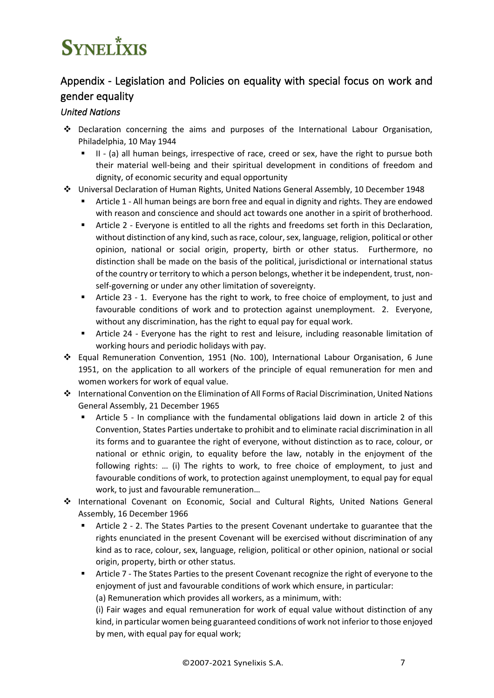### <span id="page-6-0"></span>Appendix - Legislation and Policies on equality with special focus on work and gender equality

### <span id="page-6-1"></span>*United Nations*

- ❖ Declaration concerning the aims and purposes of the International Labour Organisation, Philadelphia, 10 May 1944
	- II (a) all human beings, irrespective of race, creed or sex, have the right to pursue both their material well-being and their spiritual development in conditions of freedom and dignity, of economic security and equal opportunity
- ❖ Universal Declaration of Human Rights, United Nations General Assembly, 10 December 1948
	- Article 1 All human beings are born free and equal in dignity and rights. They are endowed with reason and conscience and should act towards one another in a spirit of brotherhood.
	- Article 2 Everyone is entitled to all the rights and freedoms set forth in this Declaration, without distinction of any kind, such as race, colour, sex, language, religion, political or other opinion, national or social origin, property, birth or other status. Furthermore, no distinction shall be made on the basis of the political, jurisdictional or international status of the country or territory to which a person belongs, whether it be independent, trust, nonself-governing or under any other limitation of sovereignty.
	- Article 23 1. Everyone has the right to work, to free choice of employment, to just and favourable conditions of work and to protection against unemployment. 2. Everyone, without any discrimination, has the right to equal pay for equal work.
	- **■** Article 24 Everyone has the right to rest and leisure, including reasonable limitation of working hours and periodic holidays with pay.
- ❖ Equal Remuneration Convention, 1951 (No. 100), International Labour Organisation, 6 June 1951, on the application to all workers of the principle of equal remuneration for men and women workers for work of equal value.
- ❖ International Convention on the Elimination of All Forms of Racial Discrimination, United Nations General Assembly, 21 December 1965
	- Article 5 In compliance with the fundamental obligations laid down in article 2 of this Convention, States Parties undertake to prohibit and to eliminate racial discrimination in all its forms and to guarantee the right of everyone, without distinction as to race, colour, or national or ethnic origin, to equality before the law, notably in the enjoyment of the following rights: … (i) The rights to work, to free choice of employment, to just and favourable conditions of work, to protection against unemployment, to equal pay for equal work, to just and favourable remuneration…
- ❖ International Covenant on Economic, Social and Cultural Rights, United Nations General Assembly, 16 December 1966
	- Article 2 2. The States Parties to the present Covenant undertake to guarantee that the rights enunciated in the present Covenant will be exercised without discrimination of any kind as to race, colour, sex, language, religion, political or other opinion, national or social origin, property, birth or other status.
	- Article 7 The States Parties to the present Covenant recognize the right of everyone to the enjoyment of just and favourable conditions of work which ensure, in particular:

(a) Remuneration which provides all workers, as a minimum, with:

(i) Fair wages and equal remuneration for work of equal value without distinction of any kind, in particular women being guaranteed conditions of work not inferior to those enjoyed by men, with equal pay for equal work;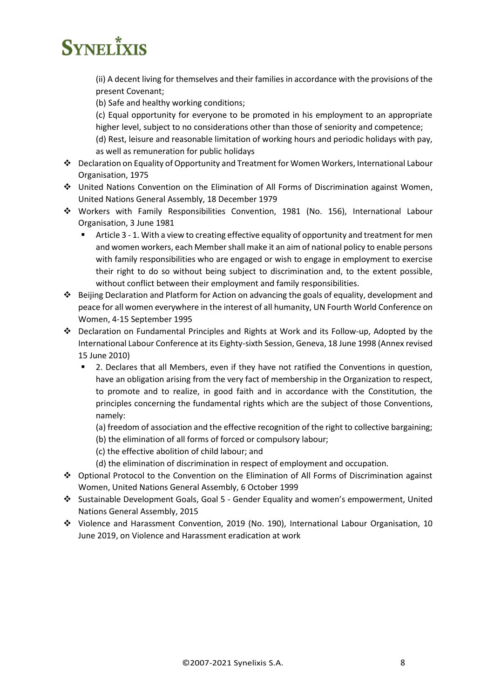(ii) A decent living for themselves and their families in accordance with the provisions of the present Covenant;

(b) Safe and healthy working conditions;

(c) Equal opportunity for everyone to be promoted in his employment to an appropriate higher level, subject to no considerations other than those of seniority and competence;

(d) Rest, leisure and reasonable limitation of working hours and periodic holidays with pay, as well as remuneration for public holidays

- ❖ Declaration on Equality of Opportunity and Treatment for Women Workers, International Labour Organisation, 1975
- ❖ United Nations Convention on the Elimination of All Forms of Discrimination against Women, United Nations General Assembly, 18 December 1979
- ❖ Workers with Family Responsibilities Convention, 1981 (No. 156), International Labour Organisation, 3 June 1981
	- Article 3 1. With a view to creating effective equality of opportunity and treatment for men and women workers, each Member shall make it an aim of national policy to enable persons with family responsibilities who are engaged or wish to engage in employment to exercise their right to do so without being subject to discrimination and, to the extent possible, without conflict between their employment and family responsibilities.
- ❖ Beijing Declaration and Platform for Action on advancing the goals of equality, development and peace for all women everywhere in the interest of all humanity, UN Fourth World Conference on Women, 4-15 September 1995
- ❖ Declaration on Fundamental Principles and Rights at Work and its Follow-up, Adopted by the International Labour Conference at its Eighty-sixth Session, Geneva, 18 June 1998 (Annex revised 15 June 2010)
	- 2. Declares that all Members, even if they have not ratified the Conventions in question, have an obligation arising from the very fact of membership in the Organization to respect, to promote and to realize, in good faith and in accordance with the Constitution, the principles concerning the fundamental rights which are the subject of those Conventions, namely:
		- (a) freedom of association and the effective recognition of the right to collective bargaining;
		- (b) the elimination of all forms of forced or compulsory labour;
		- (c) the effective abolition of child labour; and
		- (d) the elimination of discrimination in respect of employment and occupation.
- ❖ Optional Protocol to the Convention on the Elimination of All Forms of Discrimination against Women, United Nations General Assembly, 6 October 1999
- ❖ Sustainable Development Goals, Goal 5 Gender Equality and women's empowerment, United Nations General Assembly, 2015
- ❖ Violence and Harassment Convention, 2019 (No. 190), International Labour Organisation, 10 June 2019, on Violence and Harassment eradication at work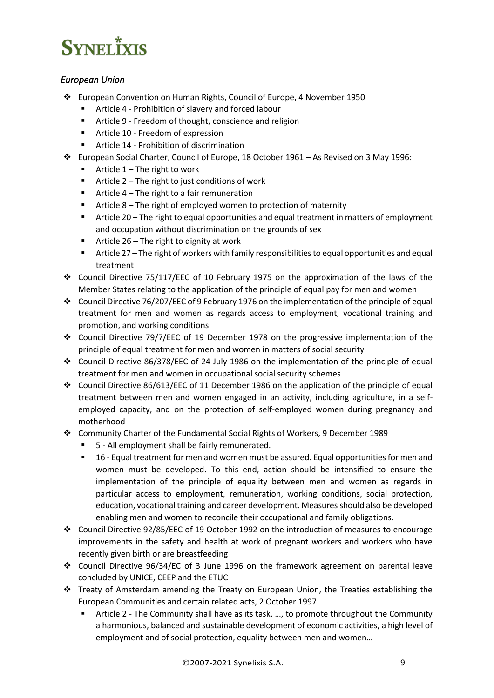### <span id="page-8-0"></span>*European Union*

- ❖ European Convention on Human Rights, Council of Europe, 4 November 1950
	- Article 4 Prohibition of slavery and forced labour
	- Article 9 Freedom of thought, conscience and religion
	- Article 10 Freedom of expression
	- Article 14 Prohibition of discrimination
- ❖ European Social Charter, Council of Europe, 18 October 1961 As Revised on 3 May 1996:
	- Article  $1 -$ The right to work
	- Article  $2 -$  The right to just conditions of work
	- Article 4 The right to a fair remuneration
	- Article  $8$  The right of employed women to protection of maternity
	- Article 20 The right to equal opportunities and equal treatment in matters of employment and occupation without discrimination on the grounds of sex
	- Article  $26$  The right to dignity at work
	- Article 27 The right of workers with family responsibilities to equal opportunities and equal treatment
- ❖ Council Directive 75/117/EEC of 10 February 1975 on the approximation of the laws of the Member States relating to the application of the principle of equal pay for men and women
- ❖ Council Directive 76/207/EEC of 9 February 1976 on the implementation of the principle of equal treatment for men and women as regards access to employment, vocational training and promotion, and working conditions
- ❖ Council Directive 79/7/EEC of 19 December 1978 on the progressive implementation of the principle of equal treatment for men and women in matters of social security
- ❖ Council Directive 86/378/EEC of 24 July 1986 on the implementation of the principle of equal treatment for men and women in occupational social security schemes
- ❖ Council Directive 86/613/EEC of 11 December 1986 on the application of the principle of equal treatment between men and women engaged in an activity, including agriculture, in a selfemployed capacity, and on the protection of self-employed women during pregnancy and motherhood
- ❖ Community Charter of the Fundamental Social Rights of Workers, 9 December 1989
	- 5 All employment shall be fairly remunerated.
	- 16 Equal treatment for men and women must be assured. Equal opportunities for men and women must be developed. To this end, action should be intensified to ensure the implementation of the principle of equality between men and women as regards in particular access to employment, remuneration, working conditions, social protection, education, vocational training and career development. Measures should also be developed enabling men and women to reconcile their occupational and family obligations.
- ❖ Council Directive 92/85/EEC of 19 October 1992 on the introduction of measures to encourage improvements in the safety and health at work of pregnant workers and workers who have recently given birth or are breastfeeding
- ❖ Council Directive 96/34/EC of 3 June 1996 on the framework agreement on parental leave concluded by UNICE, CEEP and the ETUC
- ❖ Treaty of Amsterdam amending the Treaty on European Union, the Treaties establishing the European Communities and certain related acts, 2 October 1997
	- Article 2 The Community shall have as its task, ..., to promote throughout the Community a harmonious, balanced and sustainable development of economic activities, a high level of employment and of social protection, equality between men and women…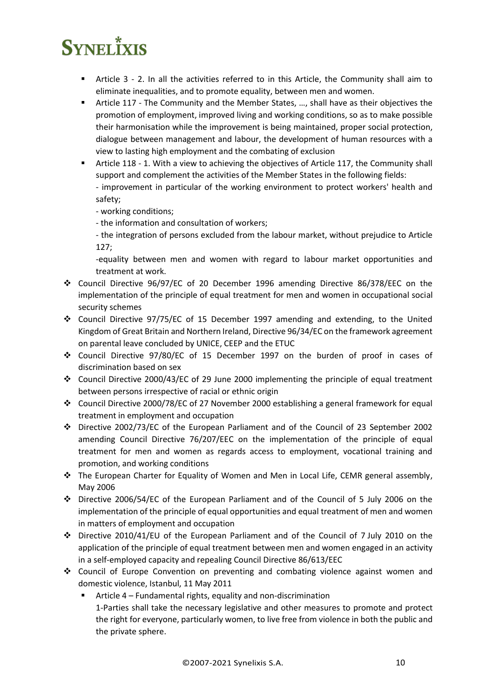- Article 3 2. In all the activities referred to in this Article, the Community shall aim to eliminate inequalities, and to promote equality, between men and women.
- **E** Article 117 The Community and the Member States, ..., shall have as their objectives the promotion of employment, improved living and working conditions, so as to make possible their harmonisation while the improvement is being maintained, proper social protection, dialogue between management and labour, the development of human resources with a view to lasting high employment and the combating of exclusion
- Article 118 1. With a view to achieving the objectives of Article 117, the Community shall support and complement the activities of the Member States in the following fields:

- improvement in particular of the working environment to protect workers' health and safety;

- working conditions;
- the information and consultation of workers;

- the integration of persons excluded from the labour market, without prejudice to Article 127;

-equality between men and women with regard to labour market opportunities and treatment at work.

- ❖ Council Directive 96/97/EC of 20 December 1996 amending Directive 86/378/EEC on the implementation of the principle of equal treatment for men and women in occupational social security schemes
- ❖ Council Directive 97/75/EC of 15 December 1997 amending and extending, to the United Kingdom of Great Britain and Northern Ireland, Directive 96/34/EC on the framework agreement on parental leave concluded by UNICE, CEEP and the ETUC
- ❖ Council Directive 97/80/EC of 15 December 1997 on the burden of proof in cases of discrimination based on sex
- ❖ Council Directive 2000/43/EC of 29 June 2000 implementing the principle of equal treatment between persons irrespective of racial or ethnic origin
- ❖ Council Directive 2000/78/EC of 27 November 2000 establishing a general framework for equal treatment in employment and occupation
- ❖ Directive 2002/73/EC of the European Parliament and of the Council of 23 September 2002 amending Council Directive 76/207/EEC on the implementation of the principle of equal treatment for men and women as regards access to employment, vocational training and promotion, and working conditions
- ❖ The European Charter for Equality of Women and Men in Local Life, CEMR general assembly, May 2006
- ❖ Directive 2006/54/EC of the European Parliament and of the Council of 5 July 2006 on the implementation of the principle of equal opportunities and equal treatment of men and women in matters of employment and occupation
- ❖ Directive 2010/41/EU of the European Parliament and of the Council of 7 July 2010 on the application of the principle of equal treatment between men and women engaged in an activity in a self-employed capacity and repealing Council Directive 86/613/EEC
- ❖ Council of Europe Convention on preventing and combating violence against women and domestic violence, Istanbul, 11 May 2011
	- Article 4 Fundamental rights, equality and non-discrimination 1-Parties shall take the necessary legislative and other measures to promote and protect the right for everyone, particularly women, to live free from violence in both the public and the private sphere.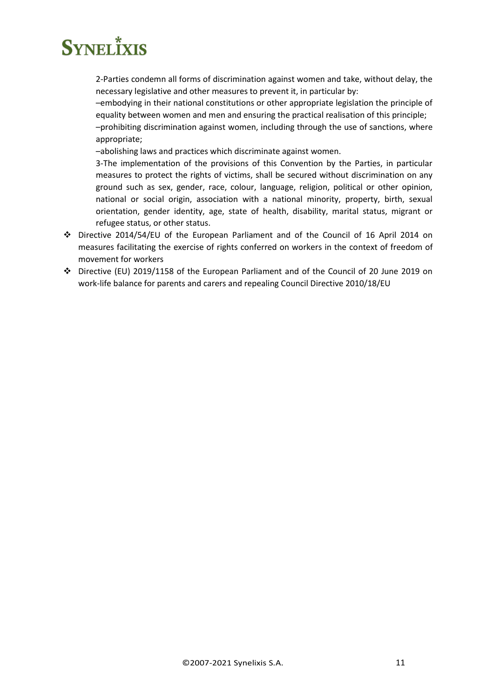2-Parties condemn all forms of discrimination against women and take, without delay, the necessary legislative and other measures to prevent it, in particular by:

–embodying in their national constitutions or other appropriate legislation the principle of equality between women and men and ensuring the practical realisation of this principle; –prohibiting discrimination against women, including through the use of sanctions, where appropriate;

–abolishing laws and practices which discriminate against women.

3-The implementation of the provisions of this Convention by the Parties, in particular measures to protect the rights of victims, shall be secured without discrimination on any ground such as sex, gender, race, colour, language, religion, political or other opinion, national or social origin, association with a national minority, property, birth, sexual orientation, gender identity, age, state of health, disability, marital status, migrant or refugee status, or other status.

- ❖ Directive 2014/54/EU of the European Parliament and of the Council of 16 April 2014 on measures facilitating the exercise of rights conferred on workers in the context of freedom of movement for workers
- ❖ Directive (EU) 2019/1158 of the European Parliament and of the Council of 20 June 2019 on work-life balance for parents and carers and repealing Council Directive 2010/18/EU